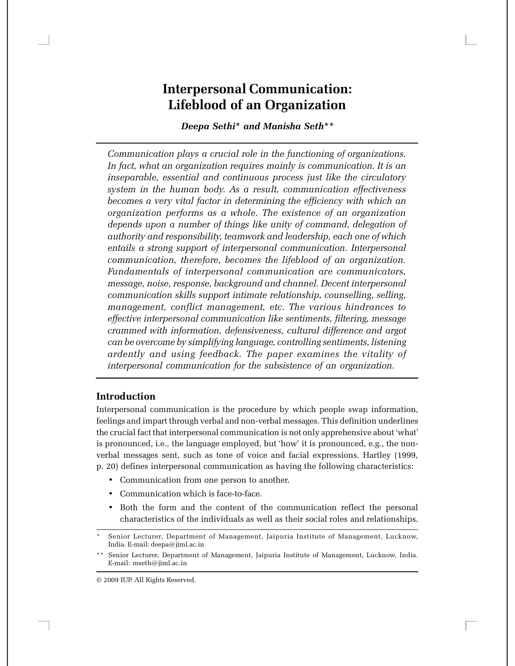# **Interpersonal Communication: Lifeblood of an Organization**

*Deepa Sethi***\*** *and Manisha Seth***\*\***

*Communication plays a crucial role in the functioning of organizations. In fact, what an organization requires mainly is communication. It is an inseparable, essential and continuous process just like the circulatory system in the human body. As a result, communication effectiveness becomes a very vital factor in determining the efficiency with which an organization performs as a whole. The existence of an organization depends upon a number of things like unity of command, delegation of authority and responsibility, teamwork and leadership, each one of which entails a strong support of interpersonal communication. Interpersonal communication, therefore, becomes the lifeblood of an organization. Fundamentals of interpersonal communication are communicators, message, noise, response, background and channel. Decent interpersonal communication skills support intimate relationship, counselling, selling, management, conflict management, etc. The various hindrances to effective interpersonal communication like sentiments, filtering, message crammed with information, defensiveness, cultural difference and argot can be overcome by simplifying language, controlling sentiments, listening ardently and using feedback. The paper examines the vitality of interpersonal communication for the subsistence of an organization.*

### **Introduction**

Interpersonal communication is the procedure by which people swap information, feelings and impart through verbal and non-verbal messages. This definition underlines the crucial fact that interpersonal communication is not only apprehensive about 'what' is pronounced, i.e., the language employed, but 'how' it is pronounced, e.g., the nonverbal messages sent, such as tone of voice and facial expressions. Hartley (1999, p. 20) defines interpersonal communication as having the following characteristics:

- Communication from one person to another.
- Communication which is face-to-face.
- Both the form and the content of the communication reflect the personal characteristics of the individuals as well as their social roles and relationships.

Senior Lecturer, Department of Management, Jaipuria Institute of Management, Lucknow, India. E-mail: deepa@jiml.ac.in

<sup>\*\*</sup> Senior Lecturer, Department of Management, Jaipuria Institute of Management, Lucknow, India. E-mail: mseth@jiml.ac.in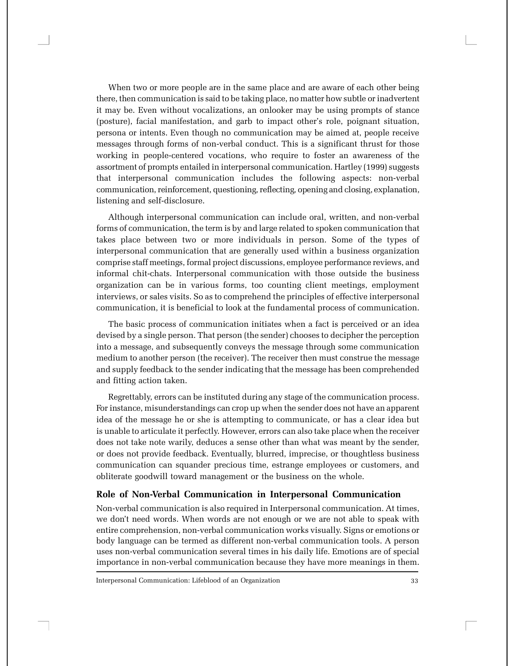When two or more people are in the same place and are aware of each other being there, then communication is said to be taking place, no matter how subtle or inadvertent it may be. Even without vocalizations, an onlooker may be using prompts of stance (posture), facial manifestation, and garb to impact other's role, poignant situation, persona or intents. Even though no communication may be aimed at, people receive messages through forms of non-verbal conduct. This is a significant thrust for those working in people-centered vocations, who require to foster an awareness of the assortment of prompts entailed in interpersonal communication. Hartley (1999) suggests that interpersonal communication includes the following aspects: non-verbal communication, reinforcement, questioning, reflecting, opening and closing, explanation, listening and self-disclosure.

Although interpersonal communication can include oral, written, and non-verbal forms of communication, the term is by and large related to spoken communication that takes place between two or more individuals in person. Some of the types of interpersonal communication that are generally used within a business organization comprise staff meetings, formal project discussions, employee performance reviews, and informal chit-chats. Interpersonal communication with those outside the business organization can be in various forms, too counting client meetings, employment interviews, or sales visits. So as to comprehend the principles of effective interpersonal communication, it is beneficial to look at the fundamental process of communication.

The basic process of communication initiates when a fact is perceived or an idea devised by a single person. That person (the sender) chooses to decipher the perception into a message, and subsequently conveys the message through some communication medium to another person (the receiver). The receiver then must construe the message and supply feedback to the sender indicating that the message has been comprehended and fitting action taken.

Regrettably, errors can be instituted during any stage of the communication process. For instance, misunderstandings can crop up when the sender does not have an apparent idea of the message he or she is attempting to communicate, or has a clear idea but is unable to articulate it perfectly. However, errors can also take place when the receiver does not take note warily, deduces a sense other than what was meant by the sender, or does not provide feedback. Eventually, blurred, imprecise, or thoughtless business communication can squander precious time, estrange employees or customers, and obliterate goodwill toward management or the business on the whole.

#### **Role of Non-Verbal Communication in Interpersonal Communication**

Non-verbal communication is also required in Interpersonal communication. At times, we don't need words. When words are not enough or we are not able to speak with entire comprehension, non-verbal communication works visually. Signs or emotions or body language can be termed as different non-verbal communication tools. A person uses non-verbal communication several times in his daily life. Emotions are of special importance in non-verbal communication because they have more meanings in them.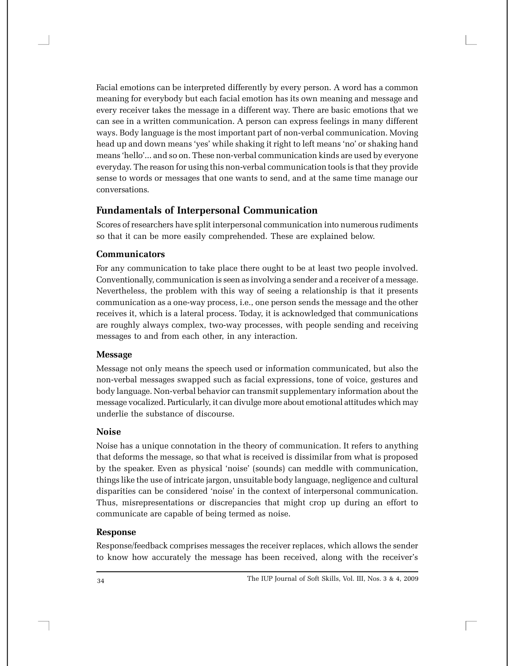Facial emotions can be interpreted differently by every person. A word has a common meaning for everybody but each facial emotion has its own meaning and message and every receiver takes the message in a different way. There are basic emotions that we can see in a written communication. A person can express feelings in many different ways. Body language is the most important part of non-verbal communication. Moving head up and down means 'yes' while shaking it right to left means 'no' or shaking hand means 'hello'... and so on. These non-verbal communication kinds are used by everyone everyday. The reason for using this non-verbal communication tools is that they provide sense to words or messages that one wants to send, and at the same time manage our conversations.

# **Fundamentals of Interpersonal Communication**

Scores of researchers have split interpersonal communication into numerous rudiments so that it can be more easily comprehended. These are explained below.

### **Communicators**

For any communication to take place there ought to be at least two people involved. Conventionally, communication is seen as involving a sender and a receiver of a message. Nevertheless, the problem with this way of seeing a relationship is that it presents communication as a one-way process, i.e., one person sends the message and the other receives it, which is a lateral process. Today, it is acknowledged that communications are roughly always complex, two-way processes, with people sending and receiving messages to and from each other, in any interaction.

#### **Message**

Message not only means the speech used or information communicated, but also the non-verbal messages swapped such as facial expressions, tone of voice, gestures and body language. Non-verbal behavior can transmit supplementary information about the message vocalized. Particularly, it can divulge more about emotional attitudes which may underlie the substance of discourse.

#### **Noise**

Noise has a unique connotation in the theory of communication. It refers to anything that deforms the message, so that what is received is dissimilar from what is proposed by the speaker. Even as physical 'noise' (sounds) can meddle with communication, things like the use of intricate jargon, unsuitable body language, negligence and cultural disparities can be considered 'noise' in the context of interpersonal communication. Thus, misrepresentations or discrepancies that might crop up during an effort to communicate are capable of being termed as noise.

#### **Response**

Response/feedback comprises messages the receiver replaces, which allows the sender to know how accurately the message has been received, along with the receiver's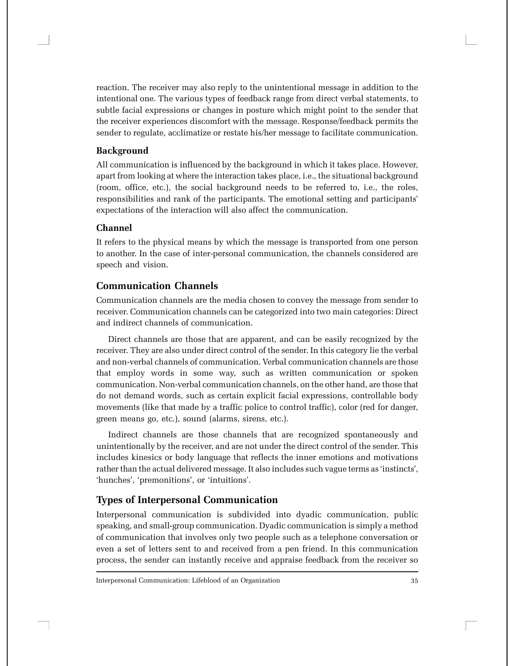reaction. The receiver may also reply to the unintentional message in addition to the intentional one. The various types of feedback range from direct verbal statements, to subtle facial expressions or changes in posture which might point to the sender that the receiver experiences discomfort with the message. Response/feedback permits the sender to regulate, acclimatize or restate his/her message to facilitate communication.

### **Background**

All communication is influenced by the background in which it takes place. However, apart from looking at where the interaction takes place, i.e., the situational background (room, office, etc.), the social background needs to be referred to, i.e., the roles, responsibilities and rank of the participants. The emotional setting and participants' expectations of the interaction will also affect the communication.

# **Channel**

It refers to the physical means by which the message is transported from one person to another. In the case of inter-personal communication, the channels considered are speech and vision.

# **Communication Channels**

Communication channels are the media chosen to convey the message from sender to receiver. Communication channels can be categorized into two main categories: Direct and indirect channels of communication.

Direct channels are those that are apparent, and can be easily recognized by the receiver. They are also under direct control of the sender. In this category lie the verbal and non-verbal channels of communication. Verbal communication channels are those that employ words in some way, such as written communication or spoken communication. Non-verbal communication channels, on the other hand, are those that do not demand words, such as certain explicit facial expressions, controllable body movements (like that made by a traffic police to control traffic), color (red for danger, green means go, etc.), sound (alarms, sirens, etc.).

Indirect channels are those channels that are recognized spontaneously and unintentionally by the receiver, and are not under the direct control of the sender. This includes kinesics or body language that reflects the inner emotions and motivations rather than the actual delivered message. It also includes such vague terms as 'instincts', 'hunches', 'premonitions', or 'intuitions'.

# **Types of Interpersonal Communication**

Interpersonal communication is subdivided into dyadic communication, public speaking, and small-group communication. Dyadic communication is simply a method of communication that involves only two people such as a telephone conversation or even a set of letters sent to and received from a pen friend. In this communication process, the sender can instantly receive and appraise feedback from the receiver so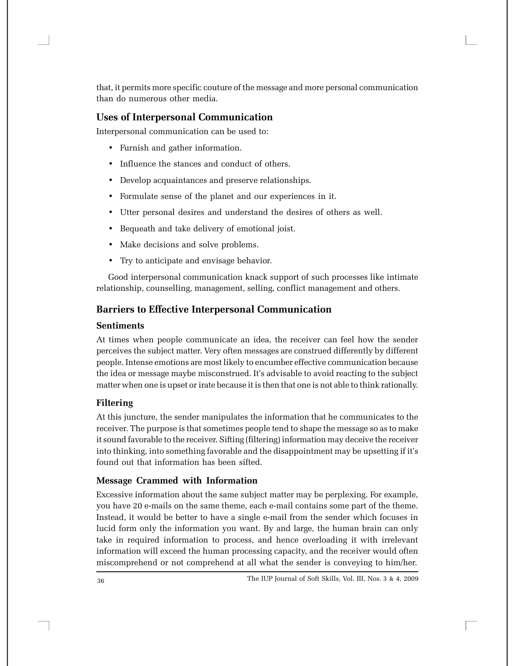that, it permits more specific couture of the message and more personal communication than do numerous other media.

# **Uses of Interpersonal Communication**

Interpersonal communication can be used to:

- Furnish and gather information.
- Influence the stances and conduct of others.
- Develop acquaintances and preserve relationships.
- Formulate sense of the planet and our experiences in it.
- Utter personal desires and understand the desires of others as well.
- Bequeath and take delivery of emotional joist.
- Make decisions and solve problems.
- Try to anticipate and envisage behavior.

Good interpersonal communication knack support of such processes like intimate relationship, counselling, management, selling, conflict management and others.

# **Barriers to Effective Interpersonal Communication**

# **Sentiments**

At times when people communicate an idea, the receiver can feel how the sender perceives the subject matter. Very often messages are construed differently by different people. Intense emotions are most likely to encumber effective communication because the idea or message maybe misconstrued. It's advisable to avoid reacting to the subject matter when one is upset or irate because it is then that one is not able to think rationally.

# **Filtering**

At this juncture, the sender manipulates the information that he communicates to the receiver. The purpose is that sometimes people tend to shape the message so as to make it sound favorable to the receiver. Sifting (filtering) information may deceive the receiver into thinking, into something favorable and the disappointment may be upsetting if it's found out that information has been sifted.

# **Message Crammed with Information**

Excessive information about the same subject matter may be perplexing. For example, you have 20 e-mails on the same theme, each e-mail contains some part of the theme. Instead, it would be better to have a single e-mail from the sender which focuses in lucid form only the information you want. By and large, the human brain can only take in required information to process, and hence overloading it with irrelevant information will exceed the human processing capacity, and the receiver would often miscomprehend or not comprehend at all what the sender is conveying to him/her.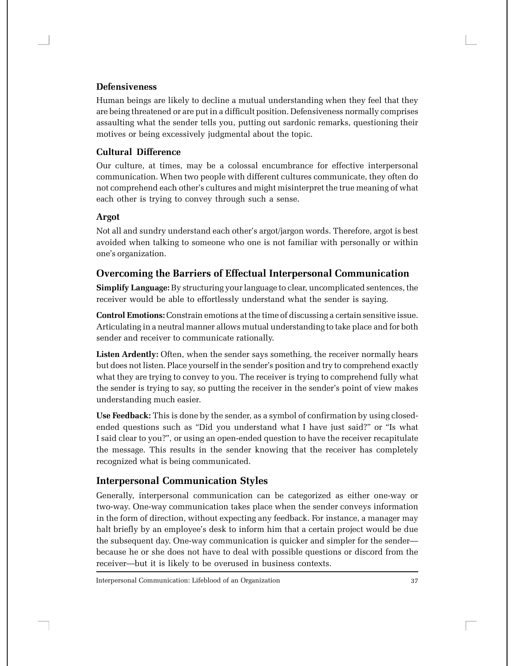### **Defensiveness**

Human beings are likely to decline a mutual understanding when they feel that they are being threatened or are put in a difficult position. Defensiveness normally comprises assaulting what the sender tells you, putting out sardonic remarks, questioning their motives or being excessively judgmental about the topic.

#### **Cultural Difference**

Our culture, at times, may be a colossal encumbrance for effective interpersonal communication. When two people with different cultures communicate, they often do not comprehend each other's cultures and might misinterpret the true meaning of what each other is trying to convey through such a sense.

#### **Argot**

Not all and sundry understand each other's argot/jargon words. Therefore, argot is best avoided when talking to someone who one is not familiar with personally or within one's organization.

# **Overcoming the Barriers of Effectual Interpersonal Communication**

**Simplify Language:** By structuring your language to clear, uncomplicated sentences, the receiver would be able to effortlessly understand what the sender is saying.

**Control Emotions:** Constrain emotions at the time of discussing a certain sensitive issue. Articulating in a neutral manner allows mutual understanding to take place and for both sender and receiver to communicate rationally.

**Listen Ardently:** Often, when the sender says something, the receiver normally hears but does not listen. Place yourself in the sender's position and try to comprehend exactly what they are trying to convey to you. The receiver is trying to comprehend fully what the sender is trying to say, so putting the receiver in the sender's point of view makes understanding much easier.

**Use Feedback:** This is done by the sender, as a symbol of confirmation by using closedended questions such as "Did you understand what I have just said?" or "Is what I said clear to you?", or using an open-ended question to have the receiver recapitulate the message. This results in the sender knowing that the receiver has completely recognized what is being communicated.

# **Interpersonal Communication Styles**

Generally, interpersonal communication can be categorized as either one-way or two-way. One-way communication takes place when the sender conveys information in the form of direction, without expecting any feedback. For instance, a manager may halt briefly by an employee's desk to inform him that a certain project would be due the subsequent day. One-way communication is quicker and simpler for the sender because he or she does not have to deal with possible questions or discord from the receiver—but it is likely to be overused in business contexts.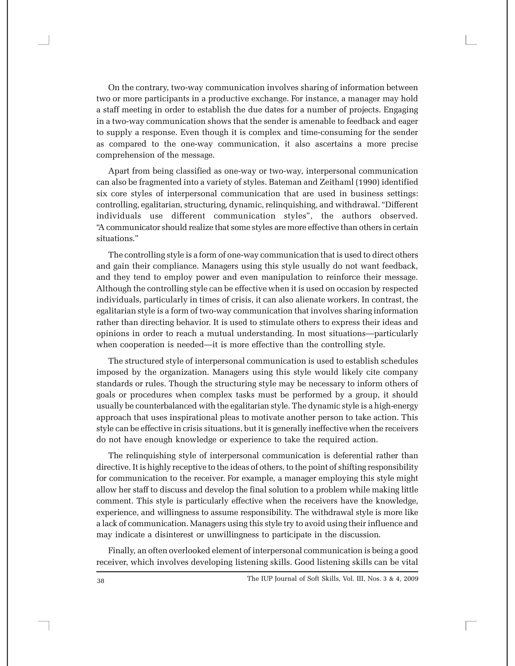On the contrary, two-way communication involves sharing of information between two or more participants in a productive exchange. For instance, a manager may hold a staff meeting in order to establish the due dates for a number of projects. Engaging in a two-way communication shows that the sender is amenable to feedback and eager to supply a response. Even though it is complex and time-consuming for the sender as compared to the one-way communication, it also ascertains a more precise comprehension of the message.

Apart from being classified as one-way or two-way, interpersonal communication can also be fragmented into a variety of styles. Bateman and Zeithaml (1990) identified six core styles of interpersonal communication that are used in business settings: controlling, egalitarian, structuring, dynamic, relinquishing, and withdrawal. "Different individuals use different communication styles", the authors observed. "A communicator should realize that some styles are more effective than others in certain situations."

The controlling style is a form of one-way communication that is used to direct others and gain their compliance. Managers using this style usually do not want feedback, and they tend to employ power and even manipulation to reinforce their message. Although the controlling style can be effective when it is used on occasion by respected individuals, particularly in times of crisis, it can also alienate workers. In contrast, the egalitarian style is a form of two-way communication that involves sharing information rather than directing behavior. It is used to stimulate others to express their ideas and opinions in order to reach a mutual understanding. In most situations—particularly when cooperation is needed—it is more effective than the controlling style.

The structured style of interpersonal communication is used to establish schedules imposed by the organization. Managers using this style would likely cite company standards or rules. Though the structuring style may be necessary to inform others of goals or procedures when complex tasks must be performed by a group, it should usually be counterbalanced with the egalitarian style. The dynamic style is a high-energy approach that uses inspirational pleas to motivate another person to take action. This style can be effective in crisis situations, but it is generally ineffective when the receivers do not have enough knowledge or experience to take the required action.

The relinquishing style of interpersonal communication is deferential rather than directive. It is highly receptive to the ideas of others, to the point of shifting responsibility for communication to the receiver. For example, a manager employing this style might allow her staff to discuss and develop the final solution to a problem while making little comment. This style is particularly effective when the receivers have the knowledge, experience, and willingness to assume responsibility. The withdrawal style is more like a lack of communication. Managers using this style try to avoid using their influence and may indicate a disinterest or unwillingness to participate in the discussion.

Finally, an often overlooked element of interpersonal communication is being a good receiver, which involves developing listening skills. Good listening skills can be vital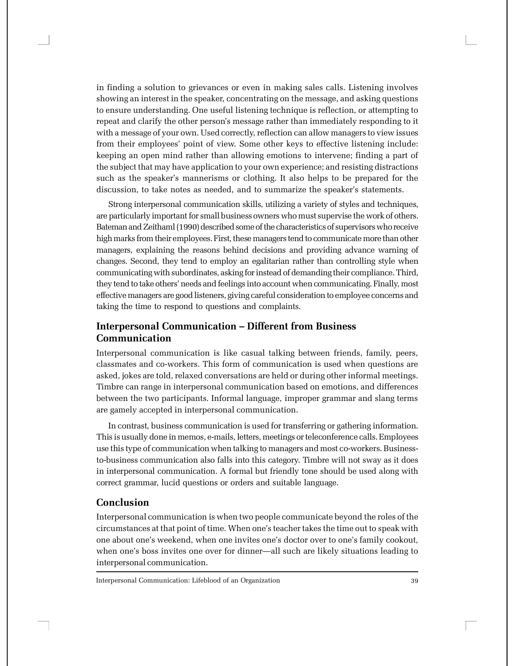in finding a solution to grievances or even in making sales calls. Listening involves showing an interest in the speaker, concentrating on the message, and asking questions to ensure understanding. One useful listening technique is reflection, or attempting to repeat and clarify the other person's message rather than immediately responding to it with a message of your own. Used correctly, reflection can allow managers to view issues from their employees' point of view. Some other keys to effective listening include: keeping an open mind rather than allowing emotions to intervene; finding a part of the subject that may have application to your own experience; and resisting distractions such as the speaker's mannerisms or clothing. It also helps to be prepared for the discussion, to take notes as needed, and to summarize the speaker's statements.

Strong interpersonal communication skills, utilizing a variety of styles and techniques, are particularly important for small business owners who must supervise the work of others. Bateman and Zeithaml (1990) described some of the characteristics of supervisors who receive high marks from their employees. First, these managers tend to communicate more than other managers, explaining the reasons behind decisions and providing advance warning of changes. Second, they tend to employ an egalitarian rather than controlling style when communicating with subordinates, asking for instead of demanding their compliance. Third, they tend to take others' needs and feelings into account when communicating. Finally, most effective managers are good listeners, giving careful consideration to employee concerns and taking the time to respond to questions and complaints.

# **Interpersonal Communication – Different from Business Communication**

Interpersonal communication is like casual talking between friends, family, peers, classmates and co-workers. This form of communication is used when questions are asked, jokes are told, relaxed conversations are held or during other informal meetings. Timbre can range in interpersonal communication based on emotions, and differences between the two participants. Informal language, improper grammar and slang terms are gamely accepted in interpersonal communication.

In contrast, business communication is used for transferring or gathering information. This is usually done in memos, e-mails, letters, meetings or teleconference calls. Employees use this type of communication when talking to managers and most co-workers. Businessto-business communication also falls into this category. Timbre will not sway as it does in interpersonal communication. A formal but friendly tone should be used along with correct grammar, lucid questions or orders and suitable language.

# **Conclusion**

Interpersonal communication is when two people communicate beyond the roles of the circumstances at that point of time. When one's teacher takes the time out to speak with one about one's weekend, when one invites one's doctor over to one's family cookout, when one's boss invites one over for dinner—all such are likely situations leading to interpersonal communication.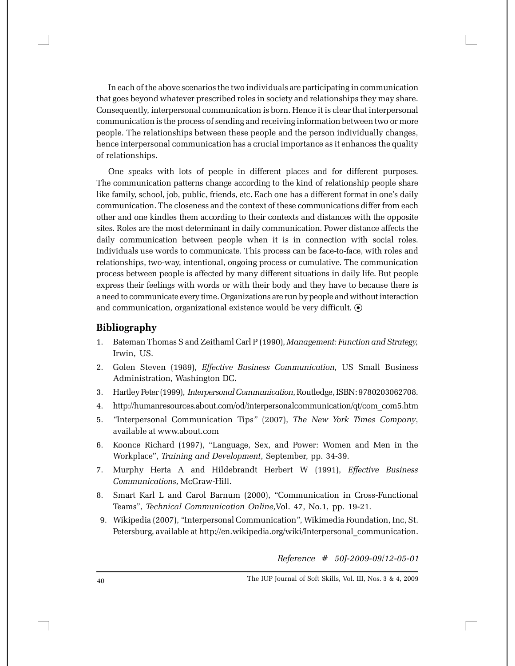In each of the above scenarios the two individuals are participating in communication that goes beyond whatever prescribed roles in society and relationships they may share. Consequently, interpersonal communication is born. Hence it is clear that interpersonal communication is the process of sending and receiving information between two or more people. The relationships between these people and the person individually changes, hence interpersonal communication has a crucial importance as it enhances the quality of relationships.

One speaks with lots of people in different places and for different purposes. The communication patterns change according to the kind of relationship people share like family, school, job, public, friends, etc. Each one has a different format in one's daily communication. The closeness and the context of these communications differ from each other and one kindles them according to their contexts and distances with the opposite sites. Roles are the most determinant in daily communication. Power distance affects the daily communication between people when it is in connection with social roles. Individuals use words to communicate. This process can be face-to-face, with roles and relationships, two-way, intentional, ongoing process or cumulative. The communication process between people is affected by many different situations in daily life. But people express their feelings with words or with their body and they have to because there is a need to communicate every time. Organizations are run by people and without interaction and communication, organizational existence would be very difficult.  $\odot$ 

### **Bibliography**

- 1. Bateman Thomas S and Zeithaml Carl P (1990), *Management: Function and Strategy,* Irwin, US.
- 2. Golen Steven (1989), *Effective Business Communication,* US Small Business Administration, Washington DC.
- 3. Hartley Peter (1999), *Interpersonal Communication*, Routledge, ISBN: 9780203062708.
- 4. http://humanresources.about.com/od/interpersonalcommunication/qt/com\_com5.htm
- 5. *"*Interpersonal Communication Tips*"* (2007), *The New York Times Company*, available at www.about.com
- 6. Koonce Richard (1997), "Language, Sex, and Power: Women and Men in the Workplace", *Training and Development*, September, pp. 34-39.
- 7. Murphy Herta A and Hildebrandt Herbert W (1991), *Effective Business Communications,* McGraw-Hill.
- 8. Smart Karl L and Carol Barnum (2000), "Communication in Cross-Functional Teams", *Technical Communication Online,*Vol. 47, No.1, pp. 19-21.
- 9. Wikipedia (2007), *"*Interpersonal Communication*"*, Wikimedia Foundation, Inc, St. Petersburg, available at http://en.wikipedia.org/wiki/Interpersonal\_communication.

*Reference # 50J-2009-09/12-05-01*